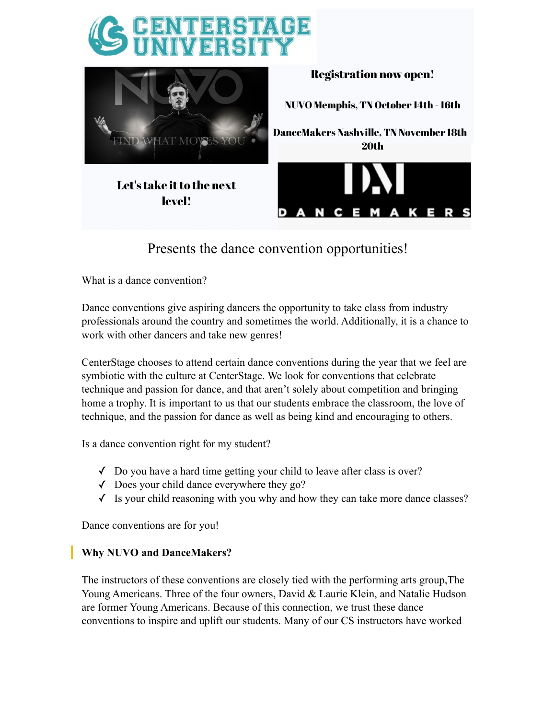



# Presents the dance convention opportunities!

What is a dance convention?

Dance conventions give aspiring dancers the opportunity to take class from industry professionals around the country and sometimes the world. Additionally, it is a chance to work with other dancers and take new genres!

CenterStage chooses to attend certain dance conventions during the year that we feel are symbiotic with the culture at CenterStage. We look for conventions that celebrate technique and passion for dance, and that aren't solely about competition and bringing home a trophy. It is important to us that our students embrace the classroom, the love of technique, and the passion for dance as well as being kind and encouraging to others.

Is a dance convention right for my student?

- $\checkmark$  Do you have a hard time getting your child to leave after class is over?
- $\sqrt{\phantom{a}}$  Does your child dance everywhere they go?
- ✓ Is your child reasoning with you why and how they can take more dance classes?

Dance conventions are for you!

# **Why NUVO and DanceMakers?**

The instructors of these conventions are closely tied with the performing arts group,The Young Americans. Three of the four owners, David & Laurie Klein, and Natalie Hudson are former Young Americans. Because of this connection, we trust these dance conventions to inspire and uplift our students. Many of our CS instructors have worked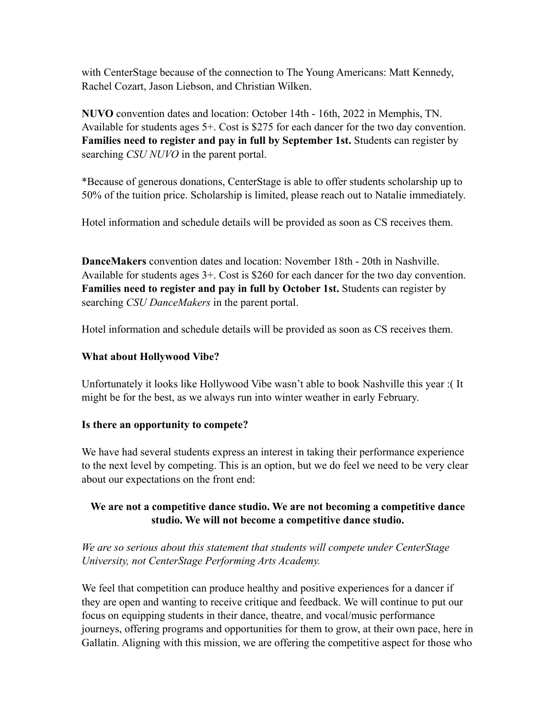with CenterStage because of the connection to The Young Americans: Matt Kennedy, Rachel Cozart, Jason Liebson, and Christian Wilken.

**NUVO** convention dates and location: October 14th - 16th, 2022 in Memphis, TN. Available for students ages 5+. Cost is \$275 for each dancer for the two day convention. **Families need to register and pay in full by September 1st.** Students can register by searching *CSU NUVO* in the parent portal.

\*Because of generous donations, CenterStage is able to offer students scholarship up to 50% of the tuition price. Scholarship is limited, please reach out to Natalie immediately.

Hotel information and schedule details will be provided as soon as CS receives them.

**DanceMakers** convention dates and location: November 18th - 20th in Nashville. Available for students ages 3+. Cost is \$260 for each dancer for the two day convention. **Families need to register and pay in full by October 1st.** Students can register by searching *CSU DanceMakers* in the parent portal.

Hotel information and schedule details will be provided as soon as CS receives them.

### **What about Hollywood Vibe?**

Unfortunately it looks like Hollywood Vibe wasn't able to book Nashville this year :( It might be for the best, as we always run into winter weather in early February.

#### **Is there an opportunity to compete?**

We have had several students express an interest in taking their performance experience to the next level by competing. This is an option, but we do feel we need to be very clear about our expectations on the front end:

# **We are not a competitive dance studio. We are not becoming a competitive dance studio. We will not become a competitive dance studio.**

*We are so serious about this statement that students will compete under CenterStage University, not CenterStage Performing Arts Academy.*

We feel that competition can produce healthy and positive experiences for a dancer if they are open and wanting to receive critique and feedback. We will continue to put our focus on equipping students in their dance, theatre, and vocal/music performance journeys, offering programs and opportunities for them to grow, at their own pace, here in Gallatin. Aligning with this mission, we are offering the competitive aspect for those who